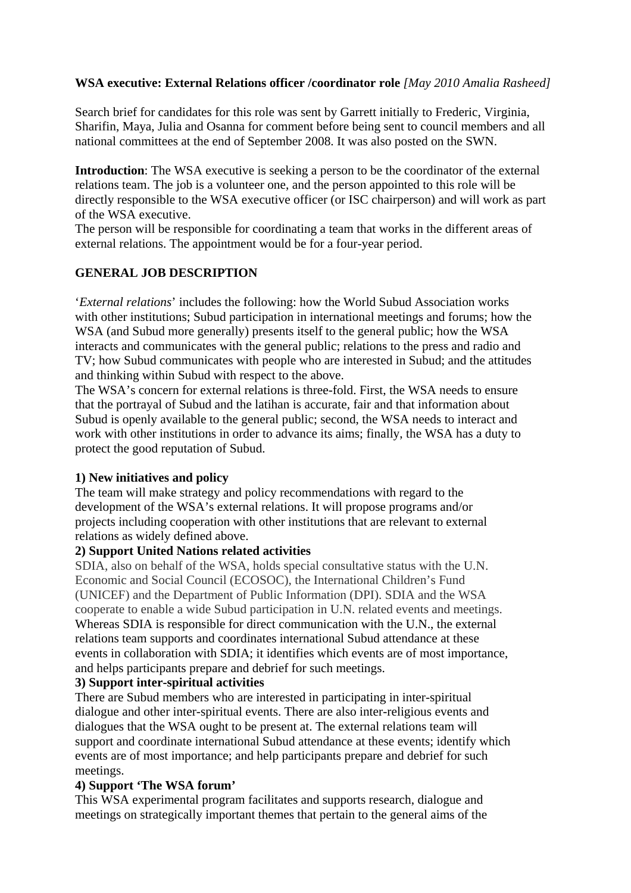### **WSA executive: External Relations officer /coordinator role** *[May 2010 Amalia Rasheed]*

Search brief for candidates for this role was sent by Garrett initially to Frederic, Virginia, Sharifin, Maya, Julia and Osanna for comment before being sent to council members and all national committees at the end of September 2008. It was also posted on the SWN.

**Introduction**: The WSA executive is seeking a person to be the coordinator of the external relations team. The job is a volunteer one, and the person appointed to this role will be directly responsible to the WSA executive officer (or ISC chairperson) and will work as part of the WSA executive.

The person will be responsible for coordinating a team that works in the different areas of external relations. The appointment would be for a four-year period.

## **GENERAL JOB DESCRIPTION**

'*External relations*' includes the following: how the World Subud Association works with other institutions; Subud participation in international meetings and forums; how the WSA (and Subud more generally) presents itself to the general public; how the WSA interacts and communicates with the general public; relations to the press and radio and TV; how Subud communicates with people who are interested in Subud; and the attitudes and thinking within Subud with respect to the above.

The WSA's concern for external relations is three-fold. First, the WSA needs to ensure that the portrayal of Subud and the latihan is accurate, fair and that information about Subud is openly available to the general public; second, the WSA needs to interact and work with other institutions in order to advance its aims; finally, the WSA has a duty to protect the good reputation of Subud.

### **1) New initiatives and policy**

The team will make strategy and policy recommendations with regard to the development of the WSA's external relations. It will propose programs and/or projects including cooperation with other institutions that are relevant to external relations as widely defined above.

### **2) Support United Nations related activities**

SDIA, also on behalf of the WSA, holds special consultative status with the U.N. Economic and Social Council (ECOSOC), the International Children's Fund (UNICEF) and the Department of Public Information (DPI). SDIA and the WSA cooperate to enable a wide Subud participation in U.N. related events and meetings. Whereas SDIA is responsible for direct communication with the U.N., the external relations team supports and coordinates international Subud attendance at these events in collaboration with SDIA; it identifies which events are of most importance, and helps participants prepare and debrief for such meetings.

### **3) Support inter-spiritual activities**

There are Subud members who are interested in participating in inter-spiritual dialogue and other inter-spiritual events. There are also inter-religious events and dialogues that the WSA ought to be present at. The external relations team will support and coordinate international Subud attendance at these events; identify which events are of most importance; and help participants prepare and debrief for such meetings.

### **4) Support 'The WSA forum'**

This WSA experimental program facilitates and supports research, dialogue and meetings on strategically important themes that pertain to the general aims of the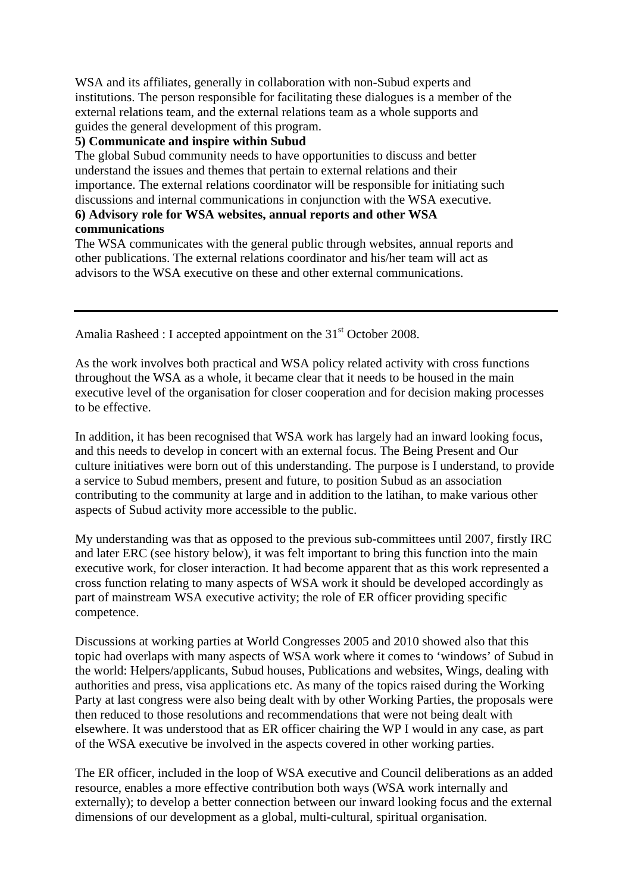WSA and its affiliates, generally in collaboration with non-Subud experts and institutions. The person responsible for facilitating these dialogues is a member of the external relations team, and the external relations team as a whole supports and guides the general development of this program.

### **5) Communicate and inspire within Subud**

The global Subud community needs to have opportunities to discuss and better understand the issues and themes that pertain to external relations and their importance. The external relations coordinator will be responsible for initiating such discussions and internal communications in conjunction with the WSA executive.

### **6) Advisory role for WSA websites, annual reports and other WSA communications**

The WSA communicates with the general public through websites, annual reports and other publications. The external relations coordinator and his/her team will act as advisors to the WSA executive on these and other external communications.

Amalia Rasheed : I accepted appointment on the  $31<sup>st</sup>$  October 2008.

As the work involves both practical and WSA policy related activity with cross functions throughout the WSA as a whole, it became clear that it needs to be housed in the main executive level of the organisation for closer cooperation and for decision making processes to be effective.

In addition, it has been recognised that WSA work has largely had an inward looking focus, and this needs to develop in concert with an external focus. The Being Present and Our culture initiatives were born out of this understanding. The purpose is I understand, to provide a service to Subud members, present and future, to position Subud as an association contributing to the community at large and in addition to the latihan, to make various other aspects of Subud activity more accessible to the public.

My understanding was that as opposed to the previous sub-committees until 2007, firstly IRC and later ERC (see history below), it was felt important to bring this function into the main executive work, for closer interaction. It had become apparent that as this work represented a cross function relating to many aspects of WSA work it should be developed accordingly as part of mainstream WSA executive activity; the role of ER officer providing specific competence.

Discussions at working parties at World Congresses 2005 and 2010 showed also that this topic had overlaps with many aspects of WSA work where it comes to 'windows' of Subud in the world: Helpers/applicants, Subud houses, Publications and websites, Wings, dealing with authorities and press, visa applications etc. As many of the topics raised during the Working Party at last congress were also being dealt with by other Working Parties, the proposals were then reduced to those resolutions and recommendations that were not being dealt with elsewhere. It was understood that as ER officer chairing the WP I would in any case, as part of the WSA executive be involved in the aspects covered in other working parties.

The ER officer, included in the loop of WSA executive and Council deliberations as an added resource, enables a more effective contribution both ways (WSA work internally and externally); to develop a better connection between our inward looking focus and the external dimensions of our development as a global, multi-cultural, spiritual organisation.